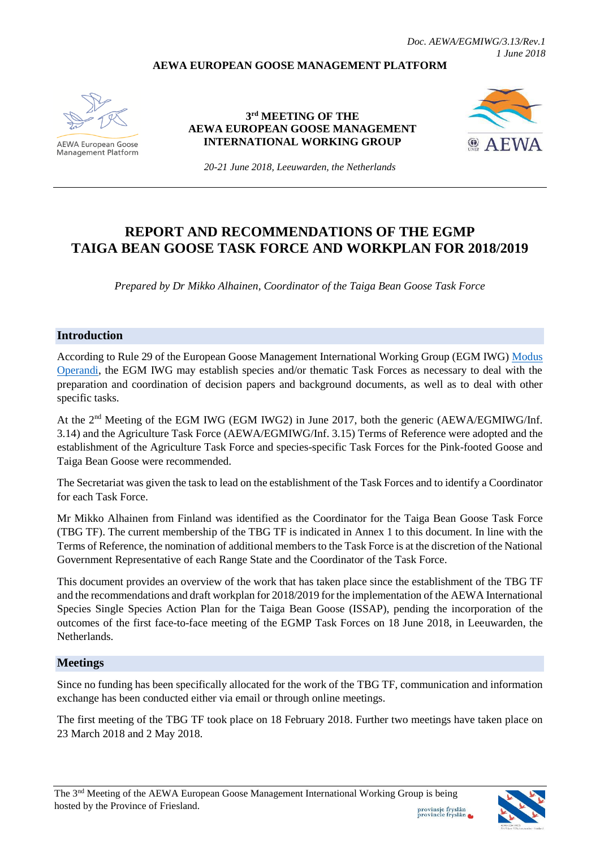#### **AEWA EUROPEAN GOOSE MANAGEMENT PLATFORM**



**AEWA European Goose Management Platform** 

**3 rd MEETING OF THE AEWA EUROPEAN GOOSE MANAGEMENT INTERNATIONAL WORKING GROUP**



*20-21 June 2018, Leeuwarden, the Netherlands*

# **REPORT AND RECOMMENDATIONS OF THE EGMP TAIGA BEAN GOOSE TASK FORCE AND WORKPLAN FOR 2018/2019**

*Prepared by Dr Mikko Alhainen, Coordinator of the Taiga Bean Goose Task Force*

#### **Introduction**

According to Rule 29 of the European Goose Management International Working Group (EGM IWG) [Modus](http://www.unep-aewa.org/sites/default/files/document/aewa_egmiwg2_inf_4_egmiwg_modus_operandi.pdf)  [Operandi,](http://www.unep-aewa.org/sites/default/files/document/aewa_egmiwg2_inf_4_egmiwg_modus_operandi.pdf) the EGM IWG may establish species and/or thematic Task Forces as necessary to deal with the preparation and coordination of decision papers and background documents, as well as to deal with other specific tasks.

At the 2<sup>nd</sup> Meeting of the EGM IWG (EGM IWG2) in June 2017, both the generic (AEWA/EGMIWG/Inf. 3.14) and the Agriculture Task Force (AEWA/EGMIWG/Inf. 3.15) Terms of Reference were adopted and the establishment of the Agriculture Task Force and species-specific Task Forces for the Pink-footed Goose and Taiga Bean Goose were recommended.

The Secretariat was given the task to lead on the establishment of the Task Forces and to identify a Coordinator for each Task Force.

Mr Mikko Alhainen from Finland was identified as the Coordinator for the Taiga Bean Goose Task Force (TBG TF). The current membership of the TBG TF is indicated in Annex 1 to this document. In line with the Terms of Reference, the nomination of additional members to the Task Force is at the discretion of the National Government Representative of each Range State and the Coordinator of the Task Force.

This document provides an overview of the work that has taken place since the establishment of the TBG TF and the recommendations and draft workplan for 2018/2019 for the implementation of the AEWA International Species Single Species Action Plan for the Taiga Bean Goose (ISSAP), pending the incorporation of the outcomes of the first face-to-face meeting of the EGMP Task Forces on 18 June 2018, in Leeuwarden, the Netherlands.

#### **Meetings**

Since no funding has been specifically allocated for the work of the TBG TF, communication and information exchange has been conducted either via email or through online meetings.

The first meeting of the TBG TF took place on 18 February 2018. Further two meetings have taken place on 23 March 2018 and 2 May 2018.

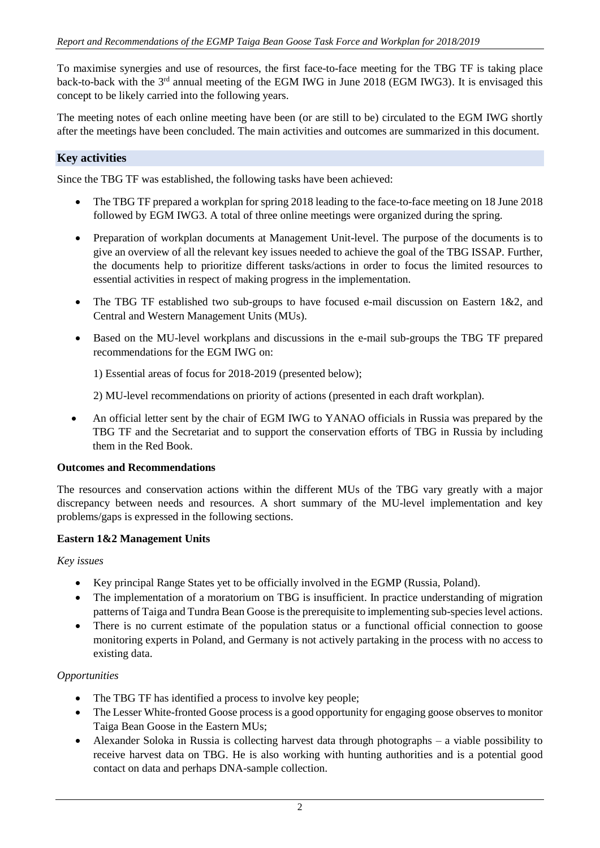To maximise synergies and use of resources, the first face-to-face meeting for the TBG TF is taking place back-to-back with the 3<sup>rd</sup> annual meeting of the EGM IWG in June 2018 (EGM IWG3). It is envisaged this concept to be likely carried into the following years.

The meeting notes of each online meeting have been (or are still to be) circulated to the EGM IWG shortly after the meetings have been concluded. The main activities and outcomes are summarized in this document.

## **Key activities**

Since the TBG TF was established, the following tasks have been achieved:

- The TBG TF prepared a workplan for spring 2018 leading to the face-to-face meeting on 18 June 2018 followed by EGM IWG3. A total of three online meetings were organized during the spring.
- Preparation of workplan documents at Management Unit-level. The purpose of the documents is to give an overview of all the relevant key issues needed to achieve the goal of the TBG ISSAP. Further, the documents help to prioritize different tasks/actions in order to focus the limited resources to essential activities in respect of making progress in the implementation.
- The TBG TF established two sub-groups to have focused e-mail discussion on Eastern 1&2, and Central and Western Management Units (MUs).
- Based on the MU-level workplans and discussions in the e-mail sub-groups the TBG TF prepared recommendations for the EGM IWG on:

1) Essential areas of focus for 2018-2019 (presented below);

2) MU-level recommendations on priority of actions (presented in each draft workplan).

• An official letter sent by the chair of EGM IWG to YANAO officials in Russia was prepared by the TBG TF and the Secretariat and to support the conservation efforts of TBG in Russia by including them in the Red Book.

## **Outcomes and Recommendations**

The resources and conservation actions within the different MUs of the TBG vary greatly with a major discrepancy between needs and resources. A short summary of the MU-level implementation and key problems/gaps is expressed in the following sections.

## **Eastern 1&2 Management Units**

## *Key issues*

- Key principal Range States yet to be officially involved in the EGMP (Russia, Poland).
- The implementation of a moratorium on TBG is insufficient. In practice understanding of migration patterns of Taiga and Tundra Bean Goose is the prerequisite to implementing sub-species level actions.
- There is no current estimate of the population status or a functional official connection to goose monitoring experts in Poland, and Germany is not actively partaking in the process with no access to existing data.

## *Opportunities*

- The TBG TF has identified a process to involve key people;
- The Lesser White-fronted Goose process is a good opportunity for engaging goose observes to monitor Taiga Bean Goose in the Eastern MUs;
- Alexander Soloka in Russia is collecting harvest data through photographs a viable possibility to receive harvest data on TBG. He is also working with hunting authorities and is a potential good contact on data and perhaps DNA-sample collection.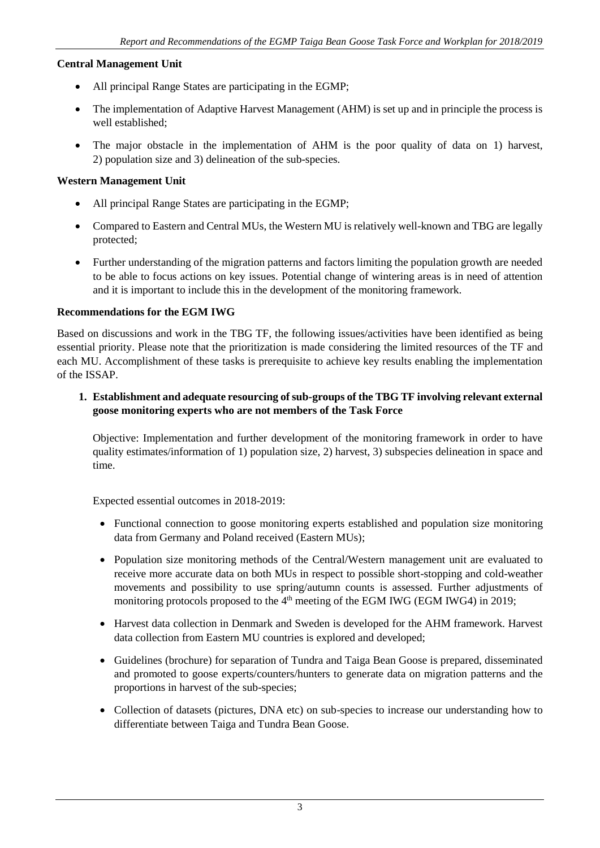## **Central Management Unit**

- All principal Range States are participating in the EGMP;
- The implementation of Adaptive Harvest Management (AHM) is set up and in principle the process is well established;
- The major obstacle in the implementation of AHM is the poor quality of data on 1) harvest, 2) population size and 3) delineation of the sub-species.

## **Western Management Unit**

- All principal Range States are participating in the EGMP;
- Compared to Eastern and Central MUs, the Western MU is relatively well-known and TBG are legally protected;
- Further understanding of the migration patterns and factors limiting the population growth are needed to be able to focus actions on key issues. Potential change of wintering areas is in need of attention and it is important to include this in the development of the monitoring framework.

## **Recommendations for the EGM IWG**

Based on discussions and work in the TBG TF, the following issues/activities have been identified as being essential priority. Please note that the prioritization is made considering the limited resources of the TF and each MU. Accomplishment of these tasks is prerequisite to achieve key results enabling the implementation of the ISSAP.

**1. Establishment and adequate resourcing of sub-groups of the TBG TF involving relevant external goose monitoring experts who are not members of the Task Force**

Objective: Implementation and further development of the monitoring framework in order to have quality estimates/information of 1) population size, 2) harvest, 3) subspecies delineation in space and time.

Expected essential outcomes in 2018-2019:

- Functional connection to goose monitoring experts established and population size monitoring data from Germany and Poland received (Eastern MUs);
- Population size monitoring methods of the Central/Western management unit are evaluated to receive more accurate data on both MUs in respect to possible short-stopping and cold-weather movements and possibility to use spring/autumn counts is assessed. Further adjustments of monitoring protocols proposed to the  $4<sup>th</sup>$  meeting of the EGM IWG (EGM IWG4) in 2019;
- Harvest data collection in Denmark and Sweden is developed for the AHM framework. Harvest data collection from Eastern MU countries is explored and developed;
- Guidelines (brochure) for separation of Tundra and Taiga Bean Goose is prepared, disseminated and promoted to goose experts/counters/hunters to generate data on migration patterns and the proportions in harvest of the sub-species;
- Collection of datasets (pictures, DNA etc) on sub-species to increase our understanding how to differentiate between Taiga and Tundra Bean Goose.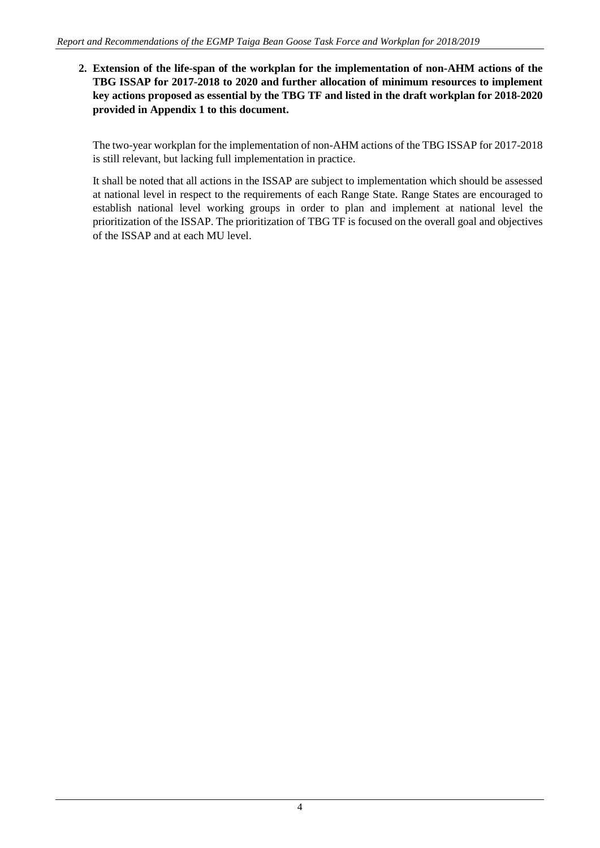**2. Extension of the life-span of the workplan for the implementation of non-AHM actions of the TBG ISSAP for 2017-2018 to 2020 and further allocation of minimum resources to implement key actions proposed as essential by the TBG TF and listed in the draft workplan for 2018-2020 provided in Appendix 1 to this document.** 

The two-year workplan for the implementation of non-AHM actions of the TBG ISSAP for 2017-2018 is still relevant, but lacking full implementation in practice.

It shall be noted that all actions in the ISSAP are subject to implementation which should be assessed at national level in respect to the requirements of each Range State. Range States are encouraged to establish national level working groups in order to plan and implement at national level the prioritization of the ISSAP. The prioritization of TBG TF is focused on the overall goal and objectives of the ISSAP and at each MU level.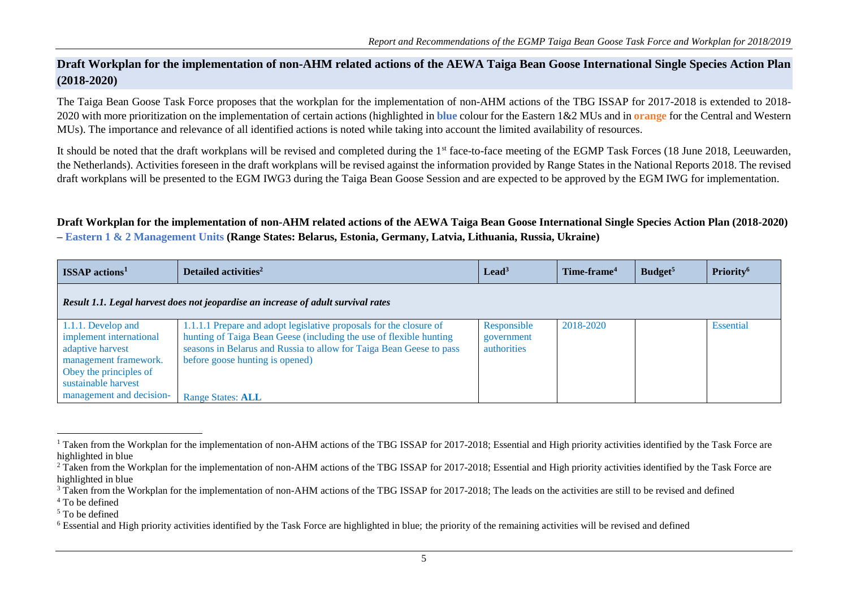# **Draft Workplan for the implementation of non-AHM related actions of the AEWA Taiga Bean Goose International Single Species Action Plan (2018-2020)**

The Taiga Bean Goose Task Force proposes that the workplan for the implementation of non-AHM actions of the TBG ISSAP for 2017-2018 is extended to 2018- 2020 with more prioritization on the implementation of certain actions (highlighted in **blue** colour for the Eastern 1&2 MUs and in **orange** for the Central and Western MUs). The importance and relevance of all identified actions is noted while taking into account the limited availability of resources.

It should be noted that the draft workplans will be revised and completed during the 1<sup>st</sup> face-to-face meeting of the EGMP Task Forces (18 June 2018, Leeuwarden, the Netherlands). Activities foreseen in the draft workplans will be revised against the information provided by Range States in the National Reports 2018. The revised draft workplans will be presented to the EGM IWG3 during the Taiga Bean Goose Session and are expected to be approved by the EGM IWG for implementation.

#### **Draft Workplan for the implementation of non-AHM related actions of the AEWA Taiga Bean Goose International Single Species Action Plan (2018-2020) – Eastern 1 & 2 Management Units (Range States: Belarus, Estonia, Germany, Latvia, Lithuania, Russia, Ukraine)**

|  | – eastern 1 & 2 Management Units (Kange States. Delarus, Estoma, Germany, Latvia, Lithuama, Kussia, UKrame) |  |
|--|-------------------------------------------------------------------------------------------------------------|--|
|  |                                                                                                             |  |
|  |                                                                                                             |  |

| <b>ISSAP</b> actions <sup>1</sup>                                                                                    | Detailed activities <sup>2</sup>                                                                                                                                                                                                                   | $\text{lead}^3$                          | Time-frame <sup>4</sup> | Budget <sup>5</sup> | Priority <sup>6</sup> |
|----------------------------------------------------------------------------------------------------------------------|----------------------------------------------------------------------------------------------------------------------------------------------------------------------------------------------------------------------------------------------------|------------------------------------------|-------------------------|---------------------|-----------------------|
|                                                                                                                      | Result 1.1. Legal harvest does not jeopardise an increase of adult survival rates                                                                                                                                                                  |                                          |                         |                     |                       |
| 1.1.1. Develop and<br>implement international<br>adaptive harvest<br>management framework.<br>Obey the principles of | 1.1.1.1 Prepare and adopt legislative proposals for the closure of<br>hunting of Taiga Bean Geese (including the use of flexible hunting<br>seasons in Belarus and Russia to allow for Taiga Bean Geese to pass<br>before goose hunting is opened) | Responsible<br>government<br>authorities | 2018-2020               |                     | Essential             |
| sustainable harvest<br>management and decision-                                                                      | <b>Range States: ALL</b>                                                                                                                                                                                                                           |                                          |                         |                     |                       |

 $\overline{a}$ 

<sup>&</sup>lt;sup>1</sup> Taken from the Workplan for the implementation of non-AHM actions of the TBG ISSAP for 2017-2018; Essential and High priority activities identified by the Task Force are highlighted in blue

<sup>&</sup>lt;sup>2</sup> Taken from the Workplan for the implementation of non-AHM actions of the TBG ISSAP for 2017-2018; Essential and High priority activities identified by the Task Force are highlighted in blue

<sup>&</sup>lt;sup>3</sup> Taken from the Workplan for the implementation of non-AHM actions of the TBG ISSAP for 2017-2018; The leads on the activities are still to be revised and defined

<sup>4</sup> To be defined

<sup>5</sup> To be defined

<sup>&</sup>lt;sup>6</sup> Essential and High priority activities identified by the Task Force are highlighted in blue; the priority of the remaining activities will be revised and defined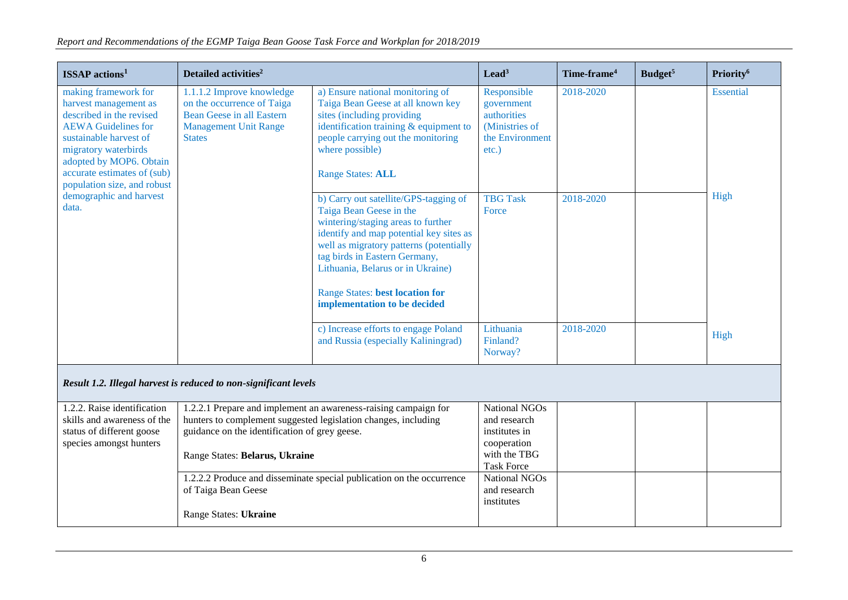| $ISSAP$ actions <sup>1</sup>                                                                                                                                                                                                                       | Detailed activities <sup>2</sup>                                                                                                                                                                                     |                                                                                                                                                                                                                                                                                                                                              | $\text{lead}^3$                                                                                    | Time-frame <sup>4</sup> | Budget <sup>5</sup> | Priority <sup>6</sup> |
|----------------------------------------------------------------------------------------------------------------------------------------------------------------------------------------------------------------------------------------------------|----------------------------------------------------------------------------------------------------------------------------------------------------------------------------------------------------------------------|----------------------------------------------------------------------------------------------------------------------------------------------------------------------------------------------------------------------------------------------------------------------------------------------------------------------------------------------|----------------------------------------------------------------------------------------------------|-------------------------|---------------------|-----------------------|
| making framework for<br>harvest management as<br>described in the revised<br><b>AEWA</b> Guidelines for<br>sustainable harvest of<br>migratory waterbirds<br>adopted by MOP6. Obtain<br>accurate estimates of (sub)<br>population size, and robust | 1.1.1.2 Improve knowledge<br>on the occurrence of Taiga<br><b>Bean Geese in all Eastern</b><br><b>Management Unit Range</b><br><b>States</b>                                                                         | a) Ensure national monitoring of<br>Taiga Bean Geese at all known key<br>sites (including providing<br>identification training $&$ equipment to<br>people carrying out the monitoring<br>where possible)<br><b>Range States: ALL</b>                                                                                                         | Responsible<br>government<br>authorities<br>(Ministries of<br>the Environment<br>etc.)             | 2018-2020               |                     | Essential             |
| demographic and harvest<br>data.                                                                                                                                                                                                                   |                                                                                                                                                                                                                      | b) Carry out satellite/GPS-tagging of<br>Taiga Bean Geese in the<br>wintering/staging areas to further<br>identify and map potential key sites as<br>well as migratory patterns (potentially<br>tag birds in Eastern Germany,<br>Lithuania, Belarus or in Ukraine)<br><b>Range States: best location for</b><br>implementation to be decided | <b>TBG Task</b><br>Force                                                                           | 2018-2020               |                     | High                  |
|                                                                                                                                                                                                                                                    |                                                                                                                                                                                                                      | c) Increase efforts to engage Poland<br>and Russia (especially Kaliningrad)                                                                                                                                                                                                                                                                  | Lithuania<br>Finland?<br>Norway?                                                                   | 2018-2020               |                     | High                  |
| Result 1.2. Illegal harvest is reduced to non-significant levels                                                                                                                                                                                   |                                                                                                                                                                                                                      |                                                                                                                                                                                                                                                                                                                                              |                                                                                                    |                         |                     |                       |
| 1.2.2. Raise identification<br>skills and awareness of the<br>status of different goose<br>species amongst hunters                                                                                                                                 | 1.2.2.1 Prepare and implement an awareness-raising campaign for<br>hunters to complement suggested legislation changes, including<br>guidance on the identification of grey geese.<br>Range States: Belarus, Ukraine |                                                                                                                                                                                                                                                                                                                                              | National NGOs<br>and research<br>institutes in<br>cooperation<br>with the TBG<br><b>Task Force</b> |                         |                     |                       |
|                                                                                                                                                                                                                                                    | 1.2.2.2 Produce and disseminate special publication on the occurrence<br>of Taiga Bean Geese<br>Range States: Ukraine                                                                                                |                                                                                                                                                                                                                                                                                                                                              | <b>National NGOs</b><br>and research<br>institutes                                                 |                         |                     |                       |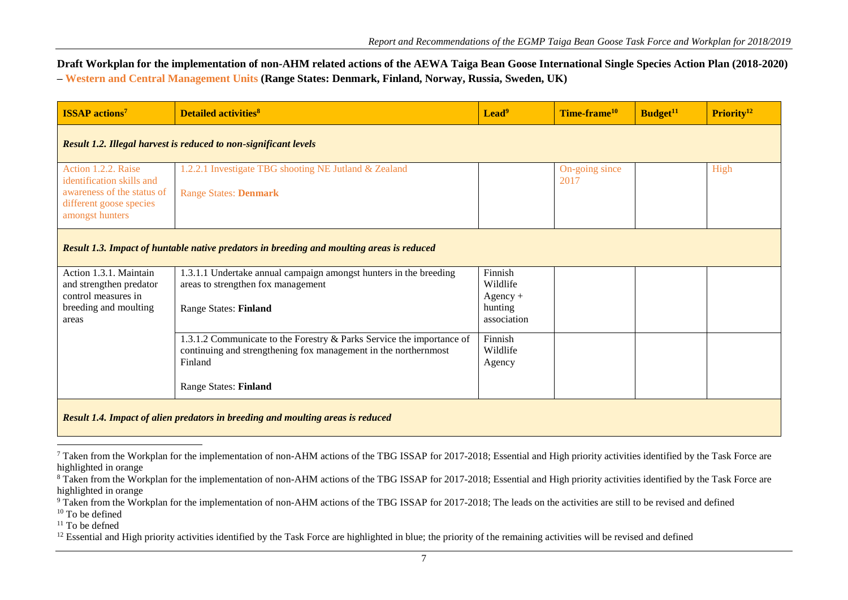**Draft Workplan for the implementation of non-AHM related actions of the AEWA Taiga Bean Goose International Single Species Action Plan (2018-2020) – Western and Central Management Units (Range States: Denmark, Finland, Norway, Russia, Sweden, UK)**

| <b>ISSAP</b> actions <sup>7</sup>                                                                                            | <b>Detailed activities<sup>8</sup></b>                                                                                                                                       | Lead <sup>9</sup>                                           | Time-frame <sup>10</sup> | Budget <sup>11</sup> | Priority <sup>12</sup> |
|------------------------------------------------------------------------------------------------------------------------------|------------------------------------------------------------------------------------------------------------------------------------------------------------------------------|-------------------------------------------------------------|--------------------------|----------------------|------------------------|
|                                                                                                                              | <b>Result 1.2. Illegal harvest is reduced to non-significant levels</b>                                                                                                      |                                                             |                          |                      |                        |
| Action 1.2.2. Raise<br>identification skills and<br>awareness of the status of<br>different goose species<br>amongst hunters | 1.2.2.1 Investigate TBG shooting NE Jutland & Zealand<br><b>Range States: Denmark</b>                                                                                        |                                                             | On-going since<br>2017   |                      | High                   |
|                                                                                                                              | Result 1.3. Impact of huntable native predators in breeding and moulting areas is reduced                                                                                    |                                                             |                          |                      |                        |
| Action 1.3.1. Maintain<br>and strengthen predator<br>control measures in<br>breeding and moulting<br>areas                   | 1.3.1.1 Undertake annual campaign amongst hunters in the breeding<br>areas to strengthen fox management<br><b>Range States: Finland</b>                                      | Finnish<br>Wildlife<br>$Agency +$<br>hunting<br>association |                          |                      |                        |
|                                                                                                                              | 1.3.1.2 Communicate to the Forestry & Parks Service the importance of<br>continuing and strengthening fox management in the northernmost<br>Finland<br>Range States: Finland | Finnish<br>Wildlife<br>Agency                               |                          |                      |                        |
| Result 1.4. Impact of alien predators in breeding and moulting areas is reduced                                              |                                                                                                                                                                              |                                                             |                          |                      |                        |

 $7$  Taken from the Workplan for the implementation of non-AHM actions of the TBG ISSAP for 2017-2018; Essential and High priority activities identified by the Task Force are highlighted in orange

 $\overline{a}$ 

<sup>&</sup>lt;sup>8</sup> Taken from the Workplan for the implementation of non-AHM actions of the TBG ISSAP for 2017-2018; Essential and High priority activities identified by the Task Force are highlighted in orange

<sup>&</sup>lt;sup>9</sup> Taken from the Workplan for the implementation of non-AHM actions of the TBG ISSAP for 2017-2018; The leads on the activities are still to be revised and defined

<sup>&</sup>lt;sup>10</sup> To be defined

 $11$  To be defned

 $12$  Essential and High priority activities identified by the Task Force are highlighted in blue; the priority of the remaining activities will be revised and defined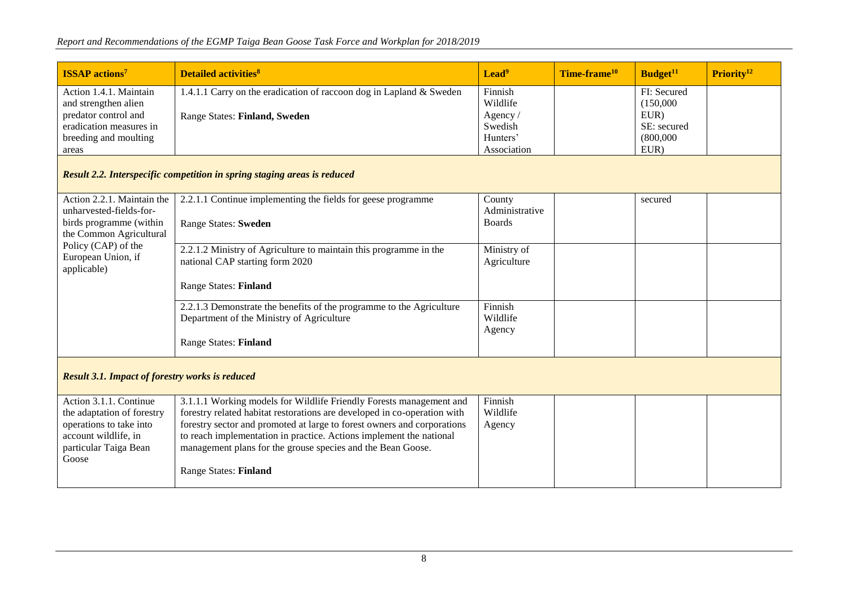## *Report and Recommendations of the EGMP Taiga Bean Goose Task Force and Workplan for 2018/2019*

| <b>ISSAP</b> actions <sup>7</sup>                | <b>Detailed activities<sup>8</sup></b>                              | Lead <sup>9</sup>   | Time-frame <sup>10</sup> | Budget <sup>11</sup>     | Priority <sup>12</sup> |
|--------------------------------------------------|---------------------------------------------------------------------|---------------------|--------------------------|--------------------------|------------------------|
| Action 1.4.1. Maintain<br>and strengthen alien   | 1.4.1.1 Carry on the eradication of raccoon dog in Lapland & Sweden | Finnish<br>Wildlife |                          | FI: Secured<br>(150,000) |                        |
| predator control and                             | <b>Range States: Finland, Sweden</b>                                | Agency/             |                          | EUR)                     |                        |
| eradication measures in<br>breeding and moulting |                                                                     | Swedish<br>Hunters' |                          | SE: secured<br>(800,000) |                        |
| areas                                            |                                                                     | Association         |                          | EUR)                     |                        |

## *Result 2.2. Interspecific competition in spring staging areas is reduced*

| Action 2.2.1. Maintain the                             | 2.2.1.1 Continue implementing the fields for geese programme             | County         | secured |  |
|--------------------------------------------------------|--------------------------------------------------------------------------|----------------|---------|--|
| unharvested-fields-for-                                |                                                                          | Administrative |         |  |
| birds programme (within                                | Range States: Sweden                                                     | <b>Boards</b>  |         |  |
| the Common Agricultural                                |                                                                          |                |         |  |
| Policy (CAP) of the                                    | 2.2.1.2 Ministry of Agriculture to maintain this programme in the        | Ministry of    |         |  |
| European Union, if                                     | national CAP starting form 2020                                          | Agriculture    |         |  |
| applicable)                                            |                                                                          |                |         |  |
|                                                        | <b>Range States: Finland</b>                                             |                |         |  |
|                                                        |                                                                          |                |         |  |
|                                                        | 2.2.1.3 Demonstrate the benefits of the programme to the Agriculture     | Finnish        |         |  |
|                                                        | Department of the Ministry of Agriculture                                | Wildlife       |         |  |
|                                                        |                                                                          | Agency         |         |  |
|                                                        | <b>Range States: Finland</b>                                             |                |         |  |
|                                                        |                                                                          |                |         |  |
|                                                        |                                                                          |                |         |  |
| <b>Result 3.1. Impact of forestry works is reduced</b> |                                                                          |                |         |  |
|                                                        |                                                                          |                |         |  |
| Action 3.1.1. Continue                                 | 3.1.1.1 Working models for Wildlife Friendly Forests management and      | Finnish        |         |  |
| the adaptation of forestry                             | forestry related habitat restorations are developed in co-operation with | Wildlife       |         |  |
| operations to take into                                | forestry sector and promoted at large to forest owners and corporations  | Agency         |         |  |
| account wildlife, in                                   | to reach implementation in practice. Actions implement the national      |                |         |  |

| operations to take into | Torestry sector and promoted at large to forest owners and corporations | Agency |  |  |
|-------------------------|-------------------------------------------------------------------------|--------|--|--|
| account wildlife, in    | to reach implementation in practice. Actions implement the national     |        |  |  |
| particular Taiga Bean   | management plans for the grouse species and the Bean Goose.             |        |  |  |
| Goose                   |                                                                         |        |  |  |
|                         | <b>Range States: Finland</b>                                            |        |  |  |
|                         |                                                                         |        |  |  |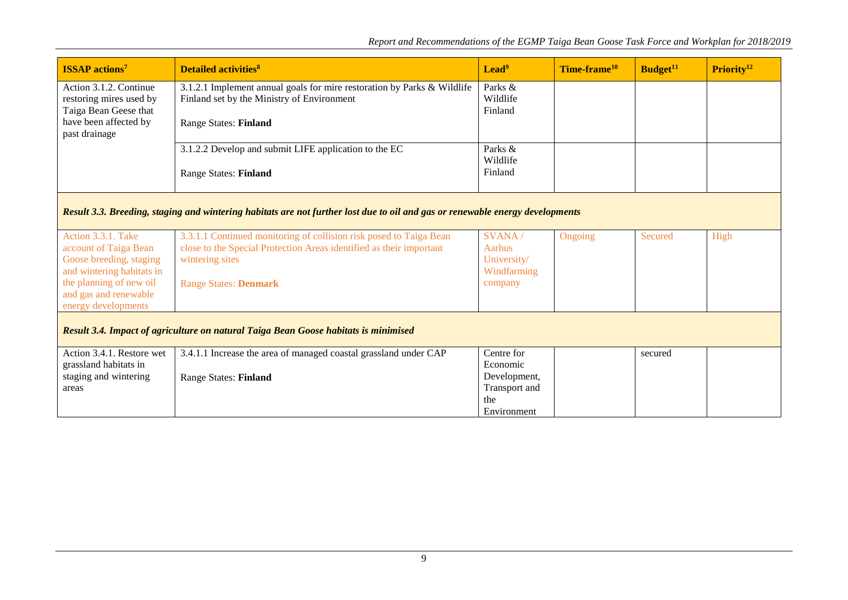| <b>ISSAP</b> actions <sup>7</sup>                 | <b>Detailed activities<sup>8</sup></b>                                                                                                    | Lead <sup>9</sup>        | Time-frame <sup>10</sup> | Budget <sup>11</sup> | Priority <sup>12</sup> |
|---------------------------------------------------|-------------------------------------------------------------------------------------------------------------------------------------------|--------------------------|--------------------------|----------------------|------------------------|
| Action 3.1.2. Continue<br>restoring mires used by | 3.1.2.1 Implement annual goals for mire restoration by Parks & Wildlife<br>Finland set by the Ministry of Environment                     |                          |                          |                      |                        |
| Taiga Bean Geese that                             |                                                                                                                                           | Finland                  |                          |                      |                        |
| have been affected by<br>past drainage            | <b>Range States: Finland</b>                                                                                                              |                          |                          |                      |                        |
|                                                   | 3.1.2.2 Develop and submit LIFE application to the EC                                                                                     | Parks &<br>Wildlife      |                          |                      |                        |
|                                                   | <b>Range States: Finland</b>                                                                                                              | Finland                  |                          |                      |                        |
|                                                   |                                                                                                                                           |                          |                          |                      |                        |
|                                                   | Result 3.3. Breeding, staging and wintering habitats are not further lost due to oil and gas or renewable energy developments             |                          |                          |                      |                        |
| Action 3.3.1. Take<br>account of Taiga Bean       | 3.3.1.1 Continued monitoring of collision risk posed to Taiga Bean<br>close to the Special Protection Areas identified as their important | SVANA /<br>Aarhus        | Ongoing                  | Secured              | High                   |
| Goose breeding, staging                           | wintering sites                                                                                                                           | University/              |                          |                      |                        |
| and wintering habitats in                         |                                                                                                                                           | Windfarming              |                          |                      |                        |
| the planning of new oil<br>and gas and renewable  | <b>Range States: Denmark</b>                                                                                                              | company                  |                          |                      |                        |
| energy developments                               |                                                                                                                                           |                          |                          |                      |                        |
|                                                   | Result 3.4. Impact of agriculture on natural Taiga Bean Goose habitats is minimised                                                       |                          |                          |                      |                        |
| Action 3.4.1. Restore wet                         | 3.4.1.1 Increase the area of managed coastal grassland under CAP                                                                          | Centre for               |                          | secured              |                        |
| grassland habitats in<br>staging and wintering    |                                                                                                                                           | Economic<br>Development, |                          |                      |                        |
| areas                                             | <b>Range States: Finland</b>                                                                                                              | Transport and            |                          |                      |                        |
|                                                   |                                                                                                                                           | the                      |                          |                      |                        |
|                                                   |                                                                                                                                           | Environment              |                          |                      |                        |